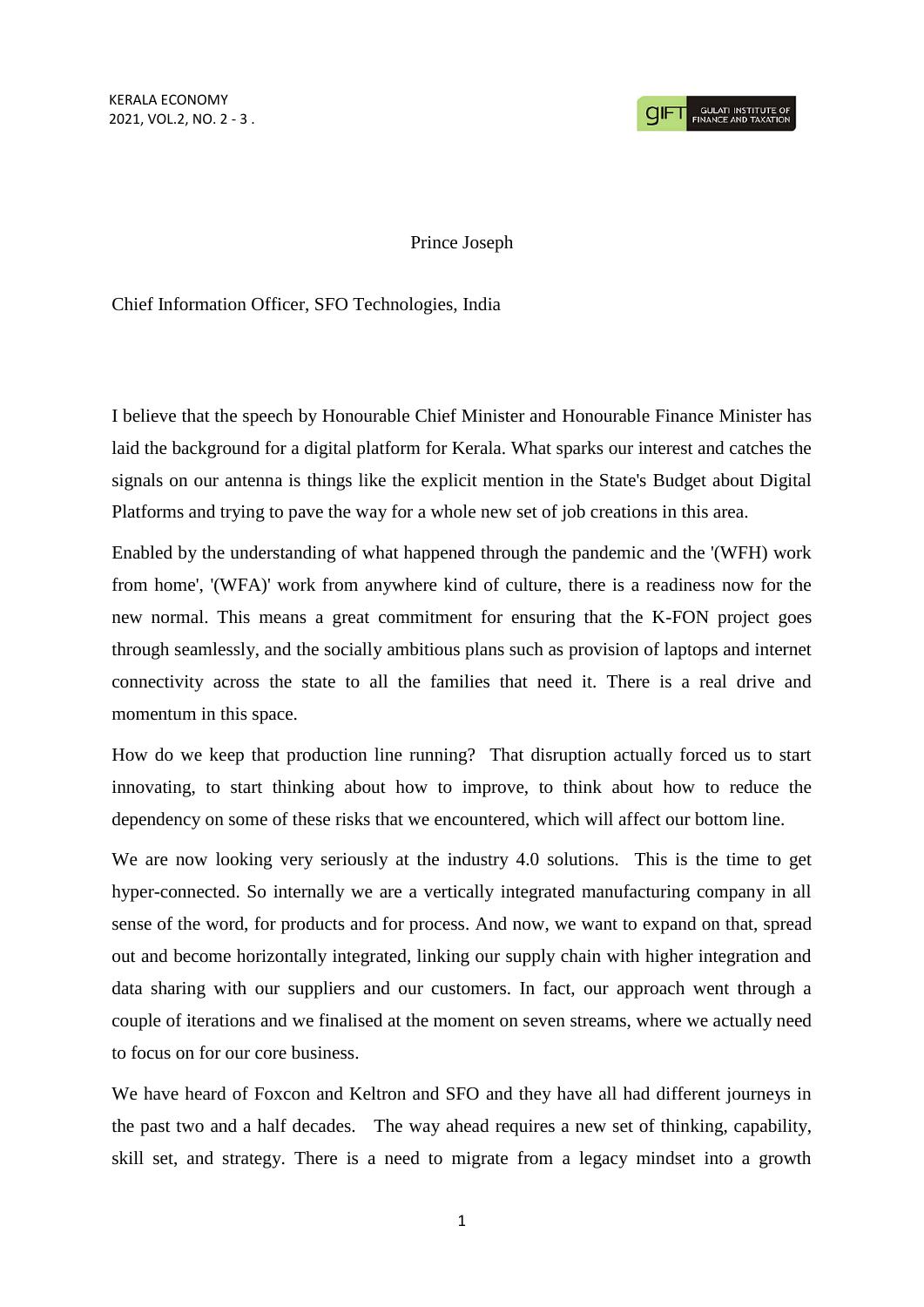KERALA ECONOMY 2021, VOL.2, NO. 2 - 3 .

**CIFT** SULATI INSTITUTE OF

## Prince Joseph

Chief Information Officer, SFO Technologies, India

I believe that the speech by Honourable Chief Minister and Honourable Finance Minister has laid the background for a digital platform for Kerala. What sparks our interest and catches the signals on our antenna is things like the explicit mention in the State's Budget about Digital Platforms and trying to pave the way for a whole new set of job creations in this area.

Enabled by the understanding of what happened through the pandemic and the '(WFH) work from home', '(WFA)' work from anywhere kind of culture, there is a readiness now for the new normal. This means a great commitment for ensuring that the K-FON project goes through seamlessly, and the socially ambitious plans such as provision of laptops and internet connectivity across the state to all the families that need it. There is a real drive and momentum in this space.

How do we keep that production line running? That disruption actually forced us to start innovating, to start thinking about how to improve, to think about how to reduce the dependency on some of these risks that we encountered, which will affect our bottom line.

We are now looking very seriously at the industry 4.0 solutions. This is the time to get hyper-connected. So internally we are a vertically integrated manufacturing company in all sense of the word, for products and for process. And now, we want to expand on that, spread out and become horizontally integrated, linking our supply chain with higher integration and data sharing with our suppliers and our customers. In fact, our approach went through a couple of iterations and we finalised at the moment on seven streams, where we actually need to focus on for our core business.

We have heard of Foxcon and Keltron and SFO and they have all had different journeys in the past two and a half decades. The way ahead requires a new set of thinking, capability, skill set, and strategy. There is a need to migrate from a legacy mindset into a growth